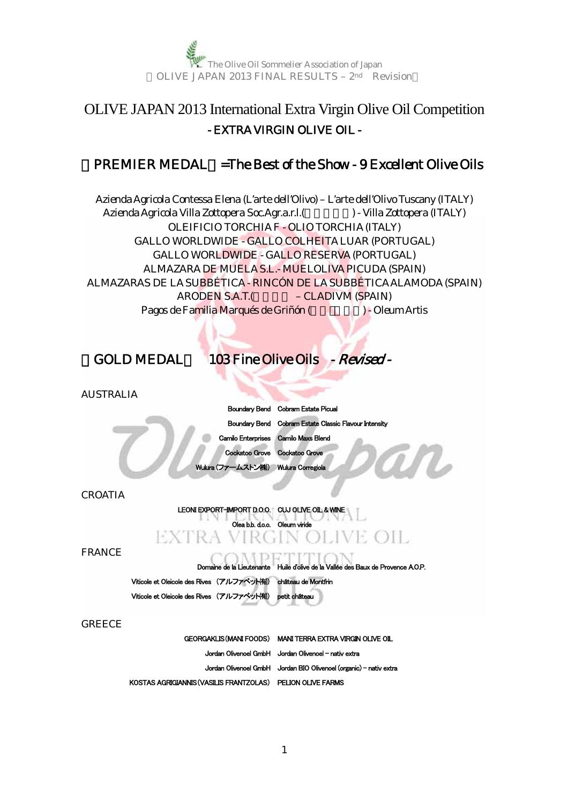

# OLIVE JAPAN 2013 International Extra Virgin Olive Oil Competition - EXTRA VIRGIN OLIVE OIL -

## $PREMIER MEDAL = The Best of the Show - 9 Excel lent Olive Oils$

Azienda Agricola Contessa Elena (L'arte dell'Olivo) – L'arte dell'Olivo Tuscany (ITALY) Azienda Agricola Villa Zottopera Soc.Agr.a.r.l.(Sepanda Zottopera (ITALY) OLEIFICIO TORCHIAF - OLIO TORCHIA(ITALY) GALLO WORLDWIDE - GALLO COLHEITA LUAR (PORTUGAL) GALLO WORLDWIDE - GALLO RESERVA (PORTUGAL) ALMAZARA DE MUELA S.L.- MUELOLIVA PICUDA(SPAIN) ALMAZARAS DE LASUBBÉTICA - RINCÓN DE LASUBBÉTICAALAMODA (SPAIN) ARODEN S.A.T.(
—
CLADIVM (SPAIN) Pagos de Familia Marqués de Griñón ( a  $\blacksquare$ ) - Oleum Artis

## 【GOLD MEDAL】 103 Fine Olive Oils - Revised -

AUSTRALIA

|                                       | Boundary Bend Cobram Estate Picual                    |
|---------------------------------------|-------------------------------------------------------|
|                                       | Boundary Bend Cobram Estate Classic Flavour Intensity |
|                                       | Camilo Enterprises Camilo Maxs Blend                  |
| Cockatoo Grove Cockatoo Grove         |                                                       |
| Wulura (ファームストン(株)) Wulura Corregiola |                                                       |

CROATIA

LEONI EXPORT-IMPORT D.O.O. CUJ OLIVE OIL & WINE

Olea b.b. d.o.o. Oleum viride

#### VE OIL EXTR A

FRANCE

Domaine de la Lieutenante Huile d'olive de la Vallée des Baux de Provence A.O.P.

Viticole et Oleicole des Rives (アルファベット侑) château de Montfrin Viticole et Oleicole des Rives (アルファベット有) petit châte

**GREECE** 

GEORGAKLIS(MANI FOODS) MANI TERRA EXTRA VIRGIN OLIVE OIL Jordan Olivenoel GmbH Jordan Olivenoel - nativ extra Jordan Olivenoel GmbH Jordan BIO Olivenoel (organic) - nativ extra KOSTAS AGRIGIANNIS(VASILIS FRANTZOLAS) PELION OLIVE FARMS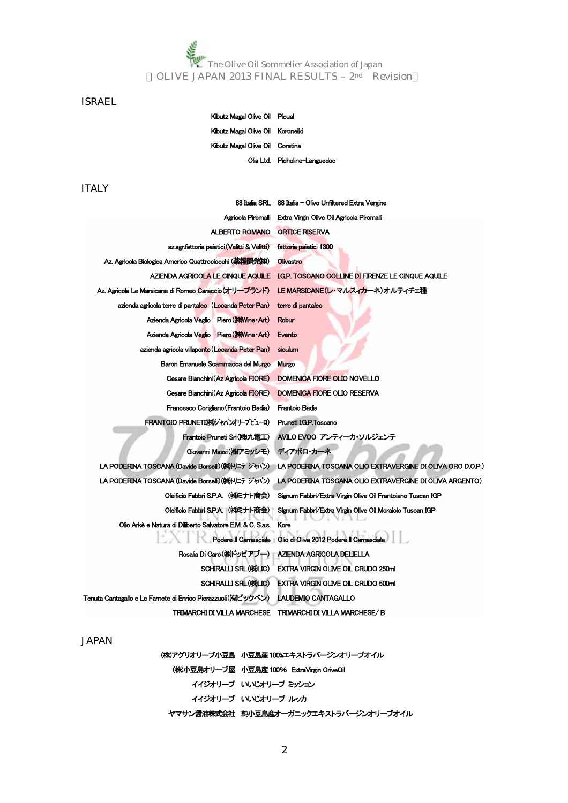The Olive Oil Sommelier Association of Japan<br>The Olive Oil Sommelier Association of Japan<br>The Olive Oil Sommelier Association of Japan OLIVE JAPAN 2013 FINAL RESULTS – 2nd Revision

### ISRAEL

Kibutz Magal Olive Oil Picual Kibutz Magal Olive Oil Koroneiki Kibutz Magal Olive Oil Coratina Olia Ltd. Picholine-Languedoc

### ITALY

| 88 Italia SRL                                               | 88 Italia – Olivo Unfiltered Extra Vergine                 |
|-------------------------------------------------------------|------------------------------------------------------------|
| Agricola Piromalli                                          | Extra Virgin Olive Oil Agricola Piromalli                  |
| <b>ALBERTO ROMANO</b>                                       | <b>ORTICE RISERVA</b>                                      |
| az.agr.fattoria paiatici (Velitti & Velitti)                | fattoria paiatici 1300                                     |
| Az. Agricola Biologica Americo Quattrociocchi (薬糧開発株)       | Olivastro                                                  |
| AZIENDA AGRICOLA LE CINQUE AQUILE                           | IGP. TOSCANO COLLINE DI FIRENZE LE CINQUE AQUILE           |
| Az. Agricola Le Marsicane di Romeo Caraccio(オリーブランド)        | LE MARSICANE(レ・マルスィカーネ)オルティチェ種                             |
| azienda agricola terre di pantaleo (Locanda Peter Pan)      | terre di pantaleo                                          |
| Azienda Agricola Veglio Piero (株Wine Art)                   | Robur                                                      |
| Azienda Agricola Veglio Piero (#Wine Art)                   | Evento                                                     |
| azienda agricola villaponte (Locanda Peter Pan)             | siculum                                                    |
| Baron Emanuele Scammacca del Murgo                          | <b>Murgo</b>                                               |
| Cesare Bianchini (Az Agricola FIORE)                        | DOMENICA FIORE OLIO NOVELLO                                |
| Cesare Bianchini (Az Agricola FIORE)                        | <b>DOMENICA FIORE OLIO RESERVA</b>                         |
| Francesco Corigliano (Frantoio Badia)                       | Frantoio Badia                                             |
| FRANTOIO PRUNETI(株)ジャパンオリーブビューロ)                            | Pruneti IGP.Toscano                                        |
| Frantoio Pruneti Srl(株)九電工)                                 | AVILO EVOO アンティーカ・ソルジェンテ                                   |
| Giovanni Massi((株)アミッシモ)                                    | ディアボロ・カーネ                                                  |
| LA PODERINA TOSCANA (Davide Borselli) (株)トリニテ ジャバン)         | LA PODERINA TOSCANA OLIO EXTRAVERGINE DI OLIVA ORO D.O.P.) |
| LA PODERINA TOSCANA (Davide Borselli)(株)トリニテ ジャバン)          | LA PODERINA TOSCANA OLIO EXTRAVERGINE DI OLIVA ARGENTO)    |
| Oleificio Fabbri S.P.A. (株にナト商会)                            | Signum Fabbri/Extra Virgin Olive Oil Frantoiano Tuscan IGP |
| Oleificio Fabbri S.P.A. (株にナト商会)                            | Signum Fabbri/Extra Virgin Olive Oil Moraiolo Tuscan IGP   |
| Olio Arkè e Natura di Diliberto Salvatore E.M. & C. S.a.s.  | Kore                                                       |
| Podere II Camasciale                                        | Olio di Oliva 2012 Podere Il Carnasciale                   |
| Rosalia Di Caro(株ドッピアブー)                                    | AZIENDA AGRICOLA DELIELLA                                  |
| SCHIRALLI SRL (株)LIC)                                       | <b>EXTRA VIRGIN OLIVE OIL CRUDO 250ml</b>                  |
| <b>SCHIRALLI SRL((株)LIC)</b>                                | <b>EXTRA VIRGIN OLIVE OIL CRUDO 500ml</b>                  |
| Tenuta Cantagallo e Le Famete di Enrico Pierazzuoli(有ビックベン) | LAUDEMIO CANTAGALLO                                        |
| TRIMARCHI DI VILLA MARCHESE                                 | TRIMARCHI DI VILLA MARCHESE/B                              |

(株)アグリオリーブ小豆島 小豆島産100%エキストラバージンオリーブオイル (株)小豆島オリーブ屋 小豆島産100% ExtraVirgin OriveOil イイジオリーブ いいじオリーブ ミッション イイジオリーブ いいじオリーブ ルッカ ヤマサン醤油株式会社 純小豆島産オーガニックエキストラバージンオリーブオイル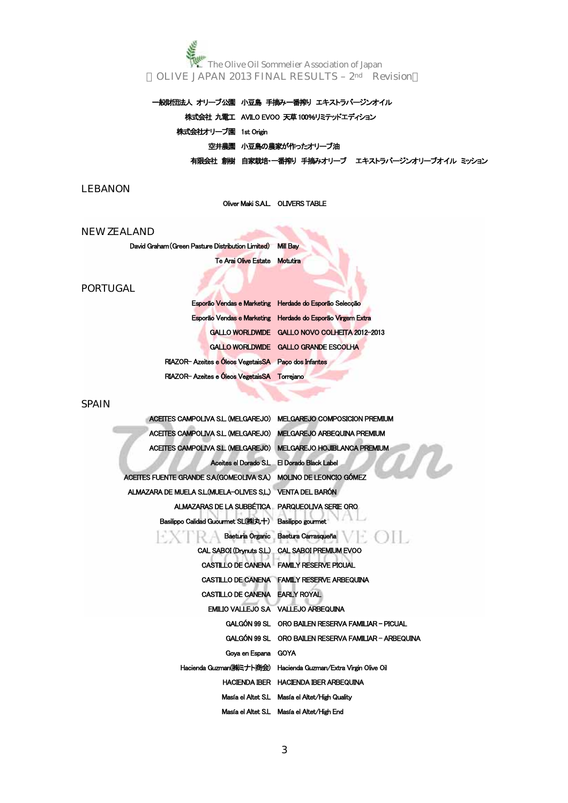一般財団法人 オリーブ公園 小豆島 手摘み一番搾り エキストラバージンオイル 株式会社 九電工 AVILO EVOO 天草100%リミテッドエディション 株式会社オリーブ園 1st Origin 空井農園 小豆島の農家が作ったオリーブ油 有限会社 創樹 自家栽培・一番搾り 手摘みオリーブ エキストラバージンオリーブオイル ミッション

### LEBANON

Oliver Maki S.A.L. OLIVERS TABLE

### NEW ZEALAND

David Graham(Green Pasture Distribution Limited) Mill Bay

Te Arai Olive Estate Motutira

### PORTUGAL

|                                                     | Esporão Vendas e Marketing Herdade do Esporão Seleccão     |
|-----------------------------------------------------|------------------------------------------------------------|
|                                                     | Esporão Vendas e Marketing Herdade do Esporão Virgem Extra |
|                                                     | GALLO WORLDWIDE GALLO NOVO COLHETTA 2012-2013              |
|                                                     | GALLO WORLDWIDE GALLO GRANDE ESCOLHA                       |
| RIAZOR-Azeites e Óleos VegetaisSA Paço dos Infantes |                                                            |
| RIAZOR-Azeites e Óleos VegetaisSA Torrejano         |                                                            |

### **SPAIN**

| ACEITES CAMPOLIVA S.L. (MELGAREJO) MELGAREJO COMPOSICION PREMIUM |                                                                |
|------------------------------------------------------------------|----------------------------------------------------------------|
| ACETTES CAMPOLIVA S.L. (MELGAREJO) MELGAREJO ARBEQUINA PREMIUM   |                                                                |
| ACEITES CAMPOLIVA S.L. (MELGAREJO) MELGAREJO HOJIBLANCA PREMIUM  |                                                                |
|                                                                  | Aceites el Dorado S.L El Dorado Black Label                    |
| ACEITES FUENTE GRANDE SA (GOMEOLIVA SA) MOLINO DE LEONCIO GÓMEZ  |                                                                |
| ALMAZARA DE MUELA S.L. (MUELA-OLIVES S.L.) VENTA DEL BARÓN       |                                                                |
| ALMAZARAS DE LA SUBBÉTICA PARQUEOLIVA SERIE ORO                  |                                                                |
| Basilippo Calidad Guourmet SL(梯丸十) Basilippo gourmet             |                                                                |
|                                                                  | $(1 - C)$<br>Baeturia Organic Baetura Carrasqueña              |
|                                                                  | CAL SABOI (Drynuts S.L.) CAL SABOI PREMIUM EVOO                |
|                                                                  | CASTILLO DE CANENA FAMILY RESERVE PICUAL                       |
|                                                                  | CASTILLO DE CANENA FAMILY RESERVE ARBEQUINA                    |
| CASTILLO DE CANENA EARLY ROYAL                                   |                                                                |
|                                                                  | EMILIO VALLEJO SA VALLEJO ARBEQUINA                            |
|                                                                  | GALGÓN 99 SL ORO BAILEN RESERVA FAMILIAR - PICUAL              |
|                                                                  | GALGÓN 99 SL ORO BAILEN RESERVA FAMILIAR - ARBEQUINA           |
| Goya en Espana GOYA                                              |                                                                |
|                                                                  | Hacienda Guzman(株ミナト商会) Hacienda Guzman/Extra Virgin Olive Oil |
|                                                                  | HACIENDA IBER HACIENDA IBER ARBEQUINA                          |
|                                                                  | Masía el Altet S.L Masía el Altet/High Quality                 |
|                                                                  | Masía el Altet S.L Masía el Altet/High End                     |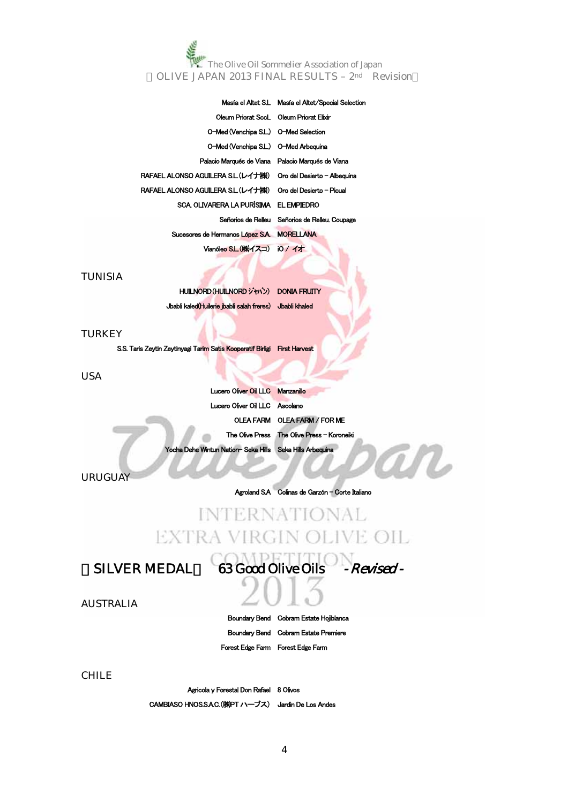|                                                                  | Masía el Altet S.L Masía el Altet/Special Selection |
|------------------------------------------------------------------|-----------------------------------------------------|
| Oleum Priorat SccL Oleum Priorat Elixir                          |                                                     |
| O-Med (Venchipa S.L.) O-Med Selection                            |                                                     |
| O-Med (Venchipa S.L.) O-Med Arbeguina                            |                                                     |
| Palacio Marqués de Viana Palacio Marqués de Viana                |                                                     |
| RAFAEL ALONSO AGUILERA S.L.(レイナ(株)) Oro del Desierto - Albeauina |                                                     |
| RAFAEL ALONSO AGUILERA S.L.(レイナ(株)) Oro del Desierto - Picual    |                                                     |
| SCA OLIVARERA LA PURÍSIMA EL EMPIEDRO                            |                                                     |
|                                                                  | Señorios de Relleu Señorios de Relleu. Coupage      |
| Sucesores de Hermanos López S.A. MORELLANA                       |                                                     |
| Vianóleo S.L. (株)イスコ) iO / イオ                                    |                                                     |

### TUNISIA

HUILNORD(HUILNORD ジャパン) DONIA FRUITY Jbabli kaled(Huilerie jbabli salah freres) Jbabli khaled

### **TURKEY**

S.S. Taris Zeytin Zeytinyagi Tarim Satis Kooperatif Birligi First Harvest

### USA

| Lucero Oliver Oil LLC Manzanillo                         |                                             |
|----------------------------------------------------------|---------------------------------------------|
| Lucero Oliver Oil LLC Ascolano                           |                                             |
|                                                          | OLEA FARM OLEA FARM / FOR ME                |
|                                                          | The Olive Press The Olive Press - Koroneiki |
| Yocha Dehe Wintun Nation-Seka Hills Seka Hills Arbequina |                                             |

URUGUAY

Agroland S.A Colinas de Garzón - Corte Italiano

# **INTERNATIONAL** EXTRA VIRGIN OLIVE OIL

SILVER MEDAL 63 Good Olive Oils - Revised -

AUSTRALIA

Boundary Bend Cobram Estate Hojiblanca Boundary Bend Cobram Estate Premiere Forest Edge Farm Forest Edge Farm

CHILE

Agricola y Forestal Don Rafael 8 Olivos CAMBIASO HNOS.S.A.C.(㈱PT ハーブス) Jardin De Los Andes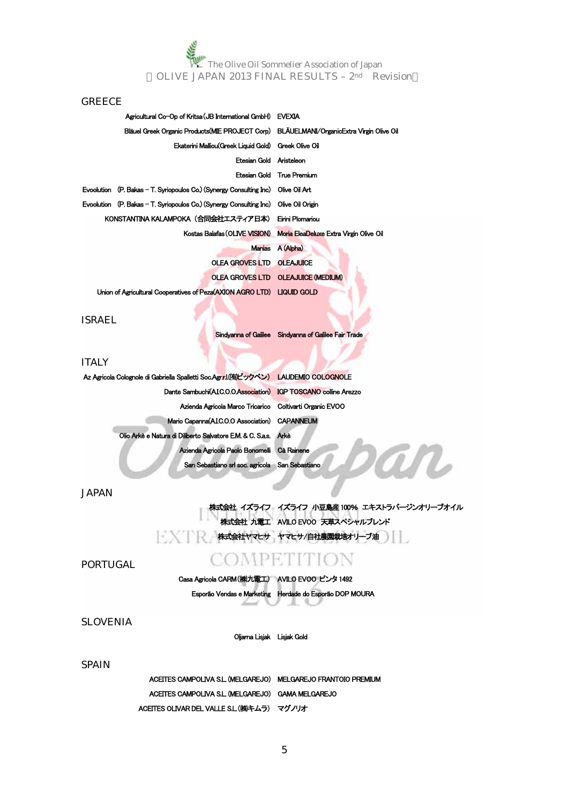### **GREECE**

|                         | Agricultural Co-Op of Kritsa (JB International GmbH) EVEXIA                              |                                                                       |
|-------------------------|------------------------------------------------------------------------------------------|-----------------------------------------------------------------------|
|                         | Bläuel Greek Organic Products(MIE PROJECT Corp) BLÄUELMANI/OrganicExtra Virgin Olive Oil |                                                                       |
|                         | Ekaterini Malliou Greek Liquid Gold) Greek Olive Oil                                     |                                                                       |
| Etesian Gold Aristeleon |                                                                                          |                                                                       |
|                         |                                                                                          | Etesian Gold True Premium                                             |
|                         | Evoolution (P. Bakas – T. Synopoulos Co.) (Synergy Consulting Inc)  Olive Oil Art        |                                                                       |
|                         | Evoolution (P. Bakas – T. Syriopoulos Co.) (Synergy Consulting Inc) Olive Oil Origin     |                                                                       |
|                         | KONSTANTINA KALAMPOKA(合同会社エスティア日本) Eirini Plomariou                                      |                                                                       |
|                         |                                                                                          | Kostas Balafas (OLIVE VISION) Moria EleaDeluxe Extra Virgin Olive Oil |
|                         |                                                                                          | Manias A (Alpha)                                                      |
|                         | OLEA GROVES LTD OLEAJUICE                                                                |                                                                       |
|                         |                                                                                          | OLEA GROVES LTD OLEAJUICE (MEDIUM)                                    |
|                         | Union of Agricultural Cooperatives of Peza(AXION AGRO LTD) LIQUID GOLD                   |                                                                       |
|                         |                                                                                          |                                                                       |

ISRAEL

### Sindyanna of Galilee Sindyanna of Galilee Fair Trade

### **ITALY**

| Az Agricola Colognole di Gabriella Spalletti Soc Agrrl(有ビックベン) LAUDEMIO COLOGNOLE |  |
|-----------------------------------------------------------------------------------|--|
| Dante Sambuchi(AIC.O.O.Association) IGP TOSCANO colline Arezzo                    |  |
| Azienda Agricola Marco Tricarico Coltivarti Organic EVOO                          |  |
| Mario Capanna(AIC.O.O Association) CAPANNEUM                                      |  |
| Olio Arkè e Natura di Diliberto Salvatore E.M. & C. S.a.s. Arkè                   |  |
| Azienda Agricola Paolo Bonomelli Cà Rainene                                       |  |
| San Sebastiano srl soc. agricola San Sebastiano                                   |  |

JAPAN

### 株式会社 イズライフ イズライフ 小豆島産100% エキストラバージンオリーブオイル 株式会社 九電工 AVILO EVOO 天草スペシャルブレンド 大学 株式会社ヤマヒサ ヤマヒサ/自社農園栽培オリーブ油

m

PORTUGAL

# COMPETITION

Casa Agricola CARM(㈱九電工) AVILO EVOO ピンタ 1492 Esporão Vendas e Marketing Herdade do Esporão DOP MOURA

SLOVENIA

Oljarna Lisjak Lisjak Gold

### **SPAIN**

ACEITES CAMPOLIVA S.L. (MELGAREJO) MELGAREJO FRANTOIO PREMIUM ACEITES CAMPOLIVA S.L. (MELGAREJO) GAMA MELGAREJO ACEITES OLIVAR DEL VALLE S.L.(㈱キムラ) マグノリオ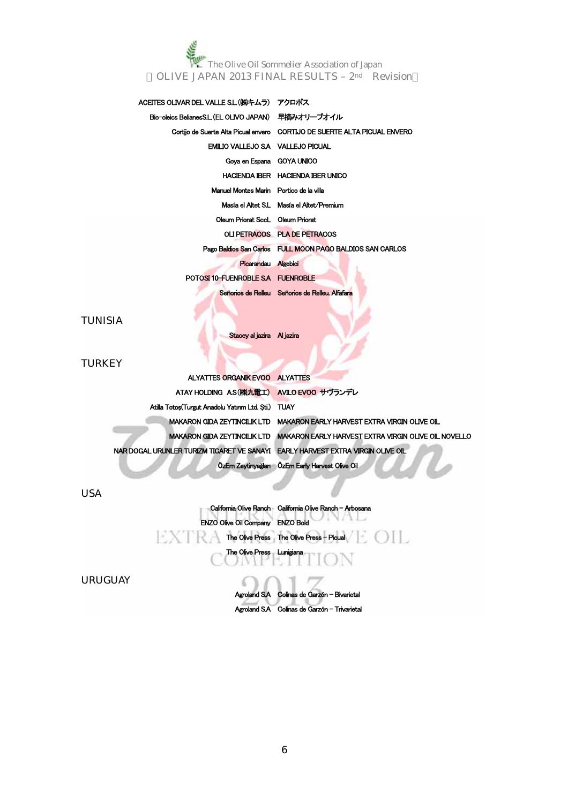## ACEITES OLIVAR DEL VALLE S.L. (株)キムラ) アクロポス Bio-oleics BelianesS.L. (EL OLIVO JAPAN) 早摘みオリーブオイル Cortijo de Suerte Alta Picual envero CORTIJO DE SUERTE ALTA PICUAL ENVERO EMILIO VALLEJO S.A VALLEJO PICUAL Goya en Espana GOYA UNICO HACIENDA IBER HACIENDA IBER UNICO Manuel Montes Marin Portico de la villa Masía el Altet S.L Masía el Altet/Premium Oleum Priorat SccL Oleum Priorat OLI PETRACOS PLA DE PETRACOS Pago Baldios San Carlos FULL MOON PAGO BALDIOS SAN CARLOS Picarandau Algebici POTOSI 10-FUENROBLE S.A FUENROBLE Señorios de Relleu Señorios de Relleu. Alfafara

TUNISIA

Stacey al jazira Al jazira

### **TURKEY**

| ALYATTES ORGANIK EVOO ALYATTES                                                  |                                                                                   |
|---------------------------------------------------------------------------------|-----------------------------------------------------------------------------------|
| ATAY HOLDING AS(株)九電工) AVILO EVOO サヴランデレ                                        |                                                                                   |
| Atilla Totos(Turgut Anadolu Yaunm Ltd. Sti.) TUAY                               |                                                                                   |
|                                                                                 | MAKARON GIDA ZEYTINCILIK LTD MAKARON EARLY HARVEST EXTRA VIRGIN OLIVE OIL         |
|                                                                                 | MAKARON GIDA ZEYTINCILIK LTD MAKARON EARLY HARVEST EXTRA VIRGIN OLIVE OIL NOVELLO |
| NAR DOGAL URUNLER TURIZM TICARET VE SANAYI EARLY HARVEST EXTRA VIRGIN OLIVE OIL |                                                                                   |
|                                                                                 | ÖzEm Zeytinyağlar ÖzEm Early Harvest Olive Oil                                    |

USA

ENZO Olive Oil Company ENZO Bold The Olive Press The Olive Press - Picual ( COLI) The Olive Press Lunigiana

California Olive Ranch California Olive Ranch - Arbosana

URUGUAY

Agroland S.A Colinas de Garzón - Bivarietal Agroland S.A Colinas de Garzón - Trivarietal